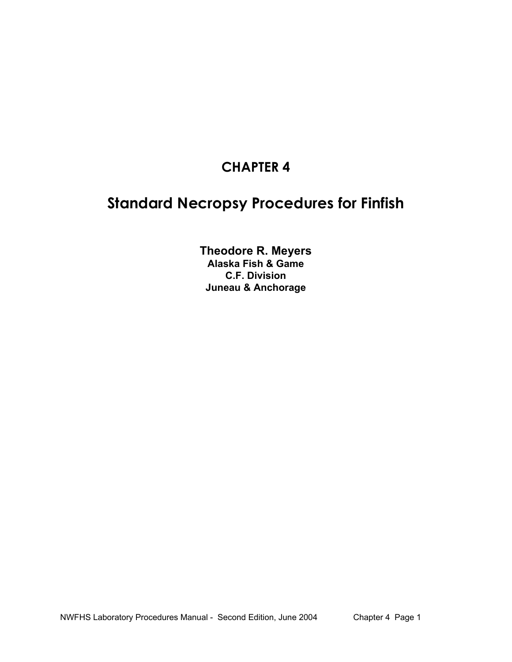# **CHAPTER 4**

# **Standard Necropsy Procedures for Finfish**

**Theodore R. Meyers Alaska Fish & Game C.F. Division Juneau & Anchorage**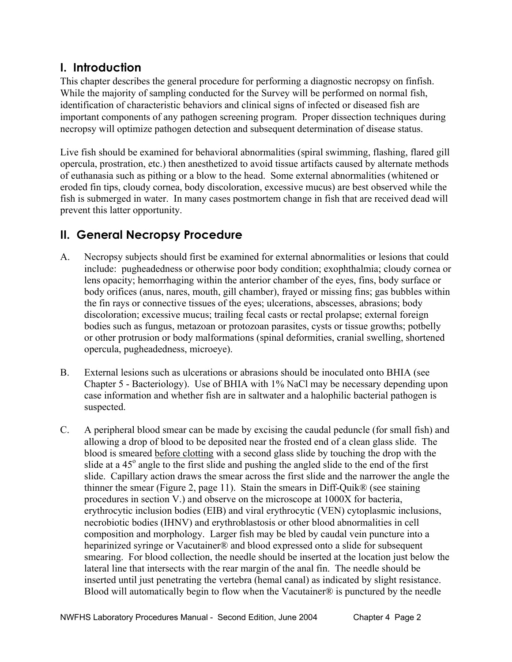# **I. Introduction**

This chapter describes the general procedure for performing a diagnostic necropsy on finfish. While the majority of sampling conducted for the Survey will be performed on normal fish, identification of characteristic behaviors and clinical signs of infected or diseased fish are important components of any pathogen screening program. Proper dissection techniques during necropsy will optimize pathogen detection and subsequent determination of disease status.

Live fish should be examined for behavioral abnormalities (spiral swimming, flashing, flared gill opercula, prostration, etc.) then anesthetized to avoid tissue artifacts caused by alternate methods of euthanasia such as pithing or a blow to the head. Some external abnormalities (whitened or eroded fin tips, cloudy cornea, body discoloration, excessive mucus) are best observed while the fish is submerged in water. In many cases postmortem change in fish that are received dead will prevent this latter opportunity.

# **II. General Necropsy Procedure**

- A. Necropsy subjects should first be examined for external abnormalities or lesions that could include: pugheadedness or otherwise poor body condition; exophthalmia; cloudy cornea or lens opacity; hemorrhaging within the anterior chamber of the eyes, fins, body surface or body orifices (anus, nares, mouth, gill chamber), frayed or missing fins; gas bubbles within the fin rays or connective tissues of the eyes; ulcerations, abscesses, abrasions; body discoloration; excessive mucus; trailing fecal casts or rectal prolapse; external foreign bodies such as fungus, metazoan or protozoan parasites, cysts or tissue growths; potbelly or other protrusion or body malformations (spinal deformities, cranial swelling, shortened opercula, pugheadedness, microeye).
- B. External lesions such as ulcerations or abrasions should be inoculated onto BHIA (see Chapter 5 - Bacteriology). Use of BHIA with 1% NaCl may be necessary depending upon case information and whether fish are in saltwater and a halophilic bacterial pathogen is suspected.
- C. A peripheral blood smear can be made by excising the caudal peduncle (for small fish) and allowing a drop of blood to be deposited near the frosted end of a clean glass slide. The blood is smeared before clotting with a second glass slide by touching the drop with the slide at a  $45^\circ$  angle to the first slide and pushing the angled slide to the end of the first slide. Capillary action draws the smear across the first slide and the narrower the angle the thinner the smear (Figure 2, page 11). Stain the smears in Diff-Quik® (see staining procedures in section V.) and observe on the microscope at 1000X for bacteria, erythrocytic inclusion bodies (EIB) and viral erythrocytic (VEN) cytoplasmic inclusions, necrobiotic bodies (IHNV) and erythroblastosis or other blood abnormalities in cell composition and morphology. Larger fish may be bled by caudal vein puncture into a heparinized syringe or Vacutainer® and blood expressed onto a slide for subsequent smearing. For blood collection, the needle should be inserted at the location just below the lateral line that intersects with the rear margin of the anal fin. The needle should be inserted until just penetrating the vertebra (hemal canal) as indicated by slight resistance. Blood will automatically begin to flow when the Vacutainer $\mathcal{D}$  is punctured by the needle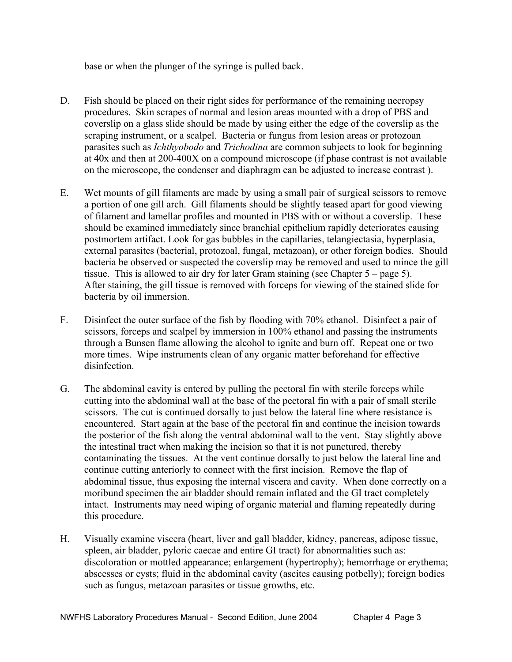base or when the plunger of the syringe is pulled back.

- D. Fish should be placed on their right sides for performance of the remaining necropsy procedures. Skin scrapes of normal and lesion areas mounted with a drop of PBS and coverslip on a glass slide should be made by using either the edge of the coverslip as the scraping instrument, or a scalpel. Bacteria or fungus from lesion areas or protozoan parasites such as *Ichthyobodo* and *Trichodina* are common subjects to look for beginning at 40x and then at 200-400X on a compound microscope (if phase contrast is not available on the microscope, the condenser and diaphragm can be adjusted to increase contrast ).
- E. Wet mounts of gill filaments are made by using a small pair of surgical scissors to remove a portion of one gill arch. Gill filaments should be slightly teased apart for good viewing of filament and lamellar profiles and mounted in PBS with or without a coverslip. These should be examined immediately since branchial epithelium rapidly deteriorates causing postmortem artifact. Look for gas bubbles in the capillaries, telangiectasia, hyperplasia, external parasites (bacterial, protozoal, fungal, metazoan), or other foreign bodies. Should bacteria be observed or suspected the coverslip may be removed and used to mince the gill tissue. This is allowed to air dry for later Gram staining (see Chapter 5 – page 5). After staining, the gill tissue is removed with forceps for viewing of the stained slide for bacteria by oil immersion.
- F. Disinfect the outer surface of the fish by flooding with 70% ethanol. Disinfect a pair of scissors, forceps and scalpel by immersion in 100% ethanol and passing the instruments through a Bunsen flame allowing the alcohol to ignite and burn off. Repeat one or two more times. Wipe instruments clean of any organic matter beforehand for effective disinfection.
- G. The abdominal cavity is entered by pulling the pectoral fin with sterile forceps while cutting into the abdominal wall at the base of the pectoral fin with a pair of small sterile scissors. The cut is continued dorsally to just below the lateral line where resistance is encountered. Start again at the base of the pectoral fin and continue the incision towards the posterior of the fish along the ventral abdominal wall to the vent. Stay slightly above the intestinal tract when making the incision so that it is not punctured, thereby contaminating the tissues. At the vent continue dorsally to just below the lateral line and continue cutting anteriorly to connect with the first incision. Remove the flap of abdominal tissue, thus exposing the internal viscera and cavity. When done correctly on a moribund specimen the air bladder should remain inflated and the GI tract completely intact. Instruments may need wiping of organic material and flaming repeatedly during this procedure.
- H. Visually examine viscera (heart, liver and gall bladder, kidney, pancreas, adipose tissue, spleen, air bladder, pyloric caecae and entire GI tract) for abnormalities such as: discoloration or mottled appearance; enlargement (hypertrophy); hemorrhage or erythema; abscesses or cysts; fluid in the abdominal cavity (ascites causing potbelly); foreign bodies such as fungus, metazoan parasites or tissue growths, etc.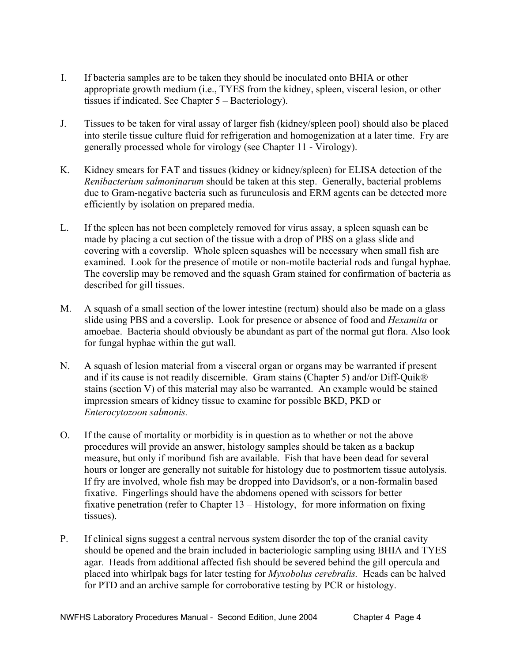- I. If bacteria samples are to be taken they should be inoculated onto BHIA or other appropriate growth medium (i.e., TYES from the kidney, spleen, visceral lesion, or other tissues if indicated. See Chapter 5 – Bacteriology).
- J. Tissues to be taken for viral assay of larger fish (kidney/spleen pool) should also be placed into sterile tissue culture fluid for refrigeration and homogenization at a later time. Fry are generally processed whole for virology (see Chapter 11 - Virology).
- K. Kidney smears for FAT and tissues (kidney or kidney/spleen) for ELISA detection of the  *Renibacterium salmoninarum* should be taken at this step. Generally, bacterial problems due to Gram-negative bacteria such as furunculosis and ERM agents can be detected more efficiently by isolation on prepared media.
- L. If the spleen has not been completely removed for virus assay, a spleen squash can be made by placing a cut section of the tissue with a drop of PBS on a glass slide and covering with a coverslip. Whole spleen squashes will be necessary when small fish are examined. Look for the presence of motile or non-motile bacterial rods and fungal hyphae. The coverslip may be removed and the squash Gram stained for confirmation of bacteria as described for gill tissues.
- M. A squash of a small section of the lower intestine (rectum) should also be made on a glass slide using PBS and a coverslip. Look for presence or absence of food and *Hexamita* or amoebae. Bacteria should obviously be abundant as part of the normal gut flora. Also look for fungal hyphae within the gut wall.
- N. A squash of lesion material from a visceral organ or organs may be warranted if present and if its cause is not readily discernible. Gram stains (Chapter 5) and/or Diff-Quik® stains (section V) of this material may also be warranted. An example would be stained impression smears of kidney tissue to examine for possible BKD, PKD or *Enterocytozoon salmonis.*
- O. If the cause of mortality or morbidity is in question as to whether or not the above procedures will provide an answer, histology samples should be taken as a backup measure, but only if moribund fish are available. Fish that have been dead for several hours or longer are generally not suitable for histology due to postmortem tissue autolysis. If fry are involved, whole fish may be dropped into Davidson's, or a non-formalin based fixative. Fingerlings should have the abdomens opened with scissors for better fixative penetration (refer to Chapter 13 – Histology, for more information on fixing tissues).
- P. If clinical signs suggest a central nervous system disorder the top of the cranial cavity should be opened and the brain included in bacteriologic sampling using BHIA and TYES agar. Heads from additional affected fish should be severed behind the gill opercula and placed into whirlpak bags for later testing for *Myxobolus cerebralis.* Heads can be halved for PTD and an archive sample for corroborative testing by PCR or histology.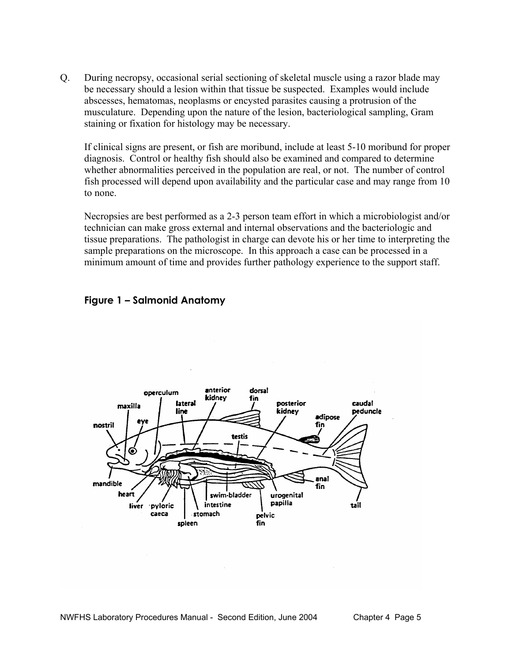Q. During necropsy, occasional serial sectioning of skeletal muscle using a razor blade may be necessary should a lesion within that tissue be suspected. Examples would include abscesses, hematomas, neoplasms or encysted parasites causing a protrusion of the musculature. Depending upon the nature of the lesion, bacteriological sampling, Gram staining or fixation for histology may be necessary.

 If clinical signs are present, or fish are moribund, include at least 5-10 moribund for proper diagnosis. Control or healthy fish should also be examined and compared to determine whether abnormalities perceived in the population are real, or not. The number of control fish processed will depend upon availability and the particular case and may range from 10 to none.

 Necropsies are best performed as a 2-3 person team effort in which a microbiologist and/or technician can make gross external and internal observations and the bacteriologic and tissue preparations. The pathologist in charge can devote his or her time to interpreting the sample preparations on the microscope. In this approach a case can be processed in a minimum amount of time and provides further pathology experience to the support staff.





NWFHS Laboratory Procedures Manual - Second Edition, June 2004 Chapter 4 Page 5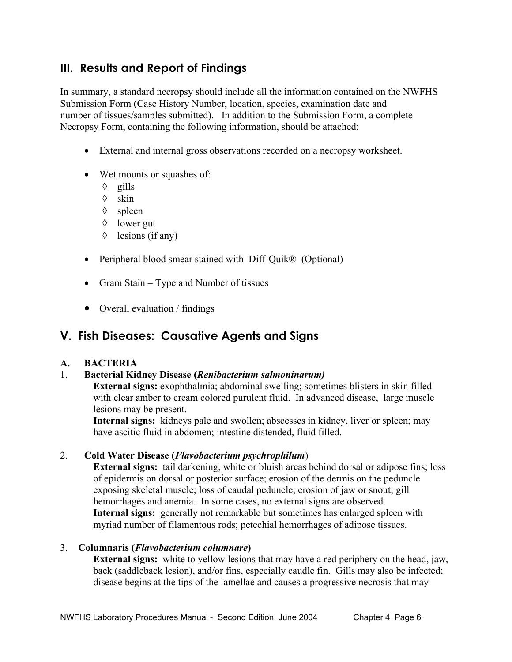# **III. Results and Report of Findings**

In summary, a standard necropsy should include all the information contained on the NWFHS Submission Form (Case History Number, location, species, examination date and number of tissues/samples submitted). In addition to the Submission Form, a complete Necropsy Form, containing the following information, should be attached:

- External and internal gross observations recorded on a necropsy worksheet.
- Wet mounts or squashes of:
	- ◊ gills
	- ◊ skin
	- ◊ spleen
	- ◊ lower gut
	- ◊ lesions (if any)
- Peripheral blood smear stained with Diff-Quik<sup>®</sup> (Optional)
- Gram Stain Type and Number of tissues
- Overall evaluation / findings

# **V. Fish Diseases: Causative Agents and Signs**

# **A. BACTERIA**

# 1. **Bacterial Kidney Disease (***Renibacterium salmoninarum)*

**External signs:** exophthalmia; abdominal swelling; sometimes blisters in skin filled with clear amber to cream colored purulent fluid. In advanced disease, large muscle lesions may be present.

**Internal signs:** kidneys pale and swollen; abscesses in kidney, liver or spleen; may have ascitic fluid in abdomen; intestine distended, fluid filled.

# 2. **Cold Water Disease (***Flavobacterium psychrophilum*)

**External signs:** tail darkening, white or bluish areas behind dorsal or adipose fins; loss of epidermis on dorsal or posterior surface; erosion of the dermis on the peduncle exposing skeletal muscle; loss of caudal peduncle; erosion of jaw or snout; gill hemorrhages and anemia. In some cases, no external signs are observed. **Internal signs:** generally not remarkable but sometimes has enlarged spleen with myriad number of filamentous rods; petechial hemorrhages of adipose tissues.

# 3. **Columnaris (***Flavobacterium columnare***)**

**External signs:** white to yellow lesions that may have a red periphery on the head, jaw, back (saddleback lesion), and/or fins, especially caudle fin. Gills may also be infected; disease begins at the tips of the lamellae and causes a progressive necrosis that may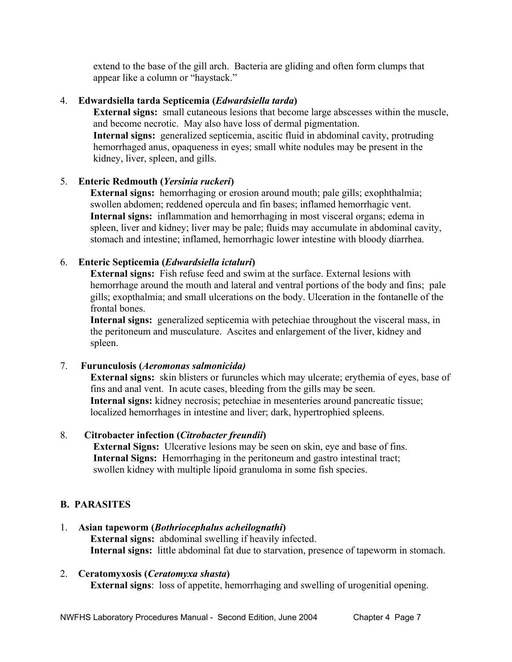extend to the base of the gill arch. Bacteria are gliding and often form clumps that appear like a column or "haystack."

#### 4. **Edwardsiella tarda Septicemia (***Edwardsiella tarda***)**

**External signs:** small cutaneous lesions that become large abscesses within the muscle, and become necrotic. May also have loss of dermal pigmentation. **Internal signs:** generalized septicemia, ascitic fluid in abdominal cavity, protruding hemorrhaged anus, opaqueness in eyes; small white nodules may be present in the kidney, liver, spleen, and gills.

# 5. **Enteric Redmouth (***Yersinia ruckeri***)**

**External signs:** hemorrhaging or erosion around mouth; pale gills; exophthalmia; swollen abdomen; reddened opercula and fin bases; inflamed hemorrhagic vent. **Internal signs:** inflammation and hemorrhaging in most visceral organs; edema in spleen, liver and kidney; liver may be pale; fluids may accumulate in abdominal cavity, stomach and intestine; inflamed, hemorrhagic lower intestine with bloody diarrhea.

#### 6. **Enteric Septicemia (***Edwardsiella ictaluri***)**

**External signs:** Fish refuse feed and swim at the surface. External lesions with hemorrhage around the mouth and lateral and ventral portions of the body and fins; pale gills; exopthalmia; and small ulcerations on the body. Ulceration in the fontanelle of the frontal bones.

**Internal signs:** generalized septicemia with petechiae throughout the visceral mass, in the peritoneum and musculature. Ascites and enlargement of the liver, kidney and spleen.

# 7. **Furunculosis (***Aeromonas salmonicida)*

**External signs:** skin blisters or furuncles which may ulcerate; erythemia of eyes, base of fins and anal vent. In acute cases, bleeding from the gills may be seen. **Internal signs:** kidney necrosis; petechiae in mesenteries around pancreatic tissue; localized hemorrhages in intestine and liver; dark, hypertrophied spleens.

# 8. **Citrobacter infection (***Citrobacter freundii***)**

 **External Signs:** Ulcerative lesions may be seen on skin, eye and base of fins.  **Internal Signs:** Hemorrhaging in the peritoneum and gastro intestinal tract; swollen kidney with multiple lipoid granuloma in some fish species.

# **B. PARASITES**

- 1. **Asian tapeworm (***Bothriocephalus acheilognathi***) External signs:** abdominal swelling if heavily infected. **Internal signs:** little abdominal fat due to starvation, presence of tapeworm in stomach.
- 2. **Ceratomyxosis (***Ceratomyxa shasta***) External signs**: loss of appetite, hemorrhaging and swelling of urogenitial opening.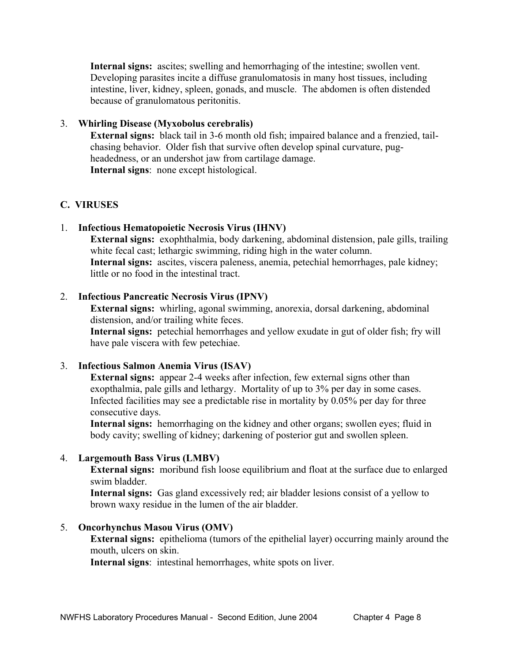**Internal signs:** ascites; swelling and hemorrhaging of the intestine; swollen vent. Developing parasites incite a diffuse granulomatosis in many host tissues, including intestine, liver, kidney, spleen, gonads, and muscle. The abdomen is often distended because of granulomatous peritonitis.

### 3. **Whirling Disease (Myxobolus cerebralis)**

**External signs:** black tail in 3-6 month old fish; impaired balance and a frenzied, tailchasing behavior. Older fish that survive often develop spinal curvature, pugheadedness, or an undershot jaw from cartilage damage. **Internal signs**: none except histological.

# **C. VIRUSES**

#### 1. **Infectious Hematopoietic Necrosis Virus (IHNV)**

**External signs:** exophthalmia, body darkening, abdominal distension, pale gills, trailing white fecal cast; lethargic swimming, riding high in the water column. **Internal signs:** ascites, viscera paleness, anemia, petechial hemorrhages, pale kidney; little or no food in the intestinal tract.

#### 2. **Infectious Pancreatic Necrosis Virus (IPNV)**

**External signs:** whirling, agonal swimming, anorexia, dorsal darkening, abdominal distension, and/or trailing white feces.

**Internal signs:** petechial hemorrhages and yellow exudate in gut of older fish; fry will have pale viscera with few petechiae.

#### 3. **Infectious Salmon Anemia Virus (ISAV)**

**External signs:** appear 2-4 weeks after infection, few external signs other than exopthalmia, pale gills and lethargy. Mortality of up to 3% per day in some cases. Infected facilities may see a predictable rise in mortality by 0.05% per day for three consecutive days.

**Internal signs:** hemorrhaging on the kidney and other organs; swollen eyes; fluid in body cavity; swelling of kidney; darkening of posterior gut and swollen spleen.

#### 4. **Largemouth Bass Virus (LMBV)**

**External signs:** moribund fish loose equilibrium and float at the surface due to enlarged swim bladder.

**Internal signs:** Gas gland excessively red; air bladder lesions consist of a yellow to brown waxy residue in the lumen of the air bladder.

#### 5. **Oncorhynchus Masou Virus (OMV)**

**External signs:** epithelioma (tumors of the epithelial layer) occurring mainly around the mouth, ulcers on skin.

**Internal signs**: intestinal hemorrhages, white spots on liver.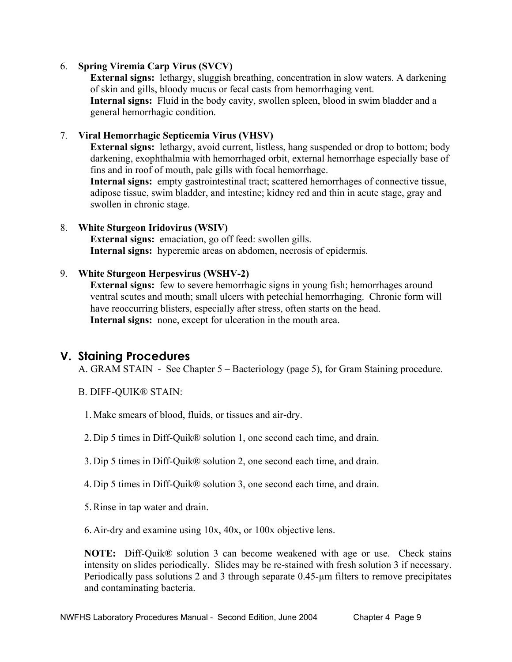### 6. **Spring Viremia Carp Virus (SVCV)**

**External signs:** lethargy, sluggish breathing, concentration in slow waters. A darkening of skin and gills, bloody mucus or fecal casts from hemorrhaging vent. **Internal signs:** Fluid in the body cavity, swollen spleen, blood in swim bladder and a general hemorrhagic condition.

#### 7. **Viral Hemorrhagic Septicemia Virus (VHSV)**

**External signs:** lethargy, avoid current, listless, hang suspended or drop to bottom; body darkening, exophthalmia with hemorrhaged orbit, external hemorrhage especially base of fins and in roof of mouth, pale gills with focal hemorrhage.

**Internal signs:** empty gastrointestinal tract; scattered hemorrhages of connective tissue, adipose tissue, swim bladder, and intestine; kidney red and thin in acute stage, gray and swollen in chronic stage.

#### 8. **White Sturgeon Iridovirus (WSIV)**

**External signs:** emaciation, go off feed: swollen gills. **Internal signs:** hyperemic areas on abdomen, necrosis of epidermis.

#### 9. **White Sturgeon Herpesvirus (WSHV-2)**

**External signs:** few to severe hemorrhagic signs in young fish; hemorrhages around ventral scutes and mouth; small ulcers with petechial hemorrhaging. Chronic form will have reoccurring blisters, especially after stress, often starts on the head. **Internal signs:** none, except for ulceration in the mouth area.

# **V. Staining Procedures**

A. GRAM STAIN - See Chapter 5 – Bacteriology (page 5), for Gram Staining procedure.

- B. DIFF-QUIK® STAIN:
	- 1. Make smears of blood, fluids, or tissues and air-dry.
	- 2. Dip 5 times in Diff-Quik® solution 1, one second each time, and drain.
	- 3. Dip 5 times in Diff-Quik® solution 2, one second each time, and drain.
	- 4. Dip 5 times in Diff-Quik® solution 3, one second each time, and drain.
	- 5. Rinse in tap water and drain.

6. Air-dry and examine using 10x, 40x, or 100x objective lens.

 **NOTE:** Diff-Quik® solution 3 can become weakened with age or use. Check stains intensity on slides periodically. Slides may be re-stained with fresh solution 3 if necessary. Periodically pass solutions 2 and 3 through separate 0.45-um filters to remove precipitates and contaminating bacteria.